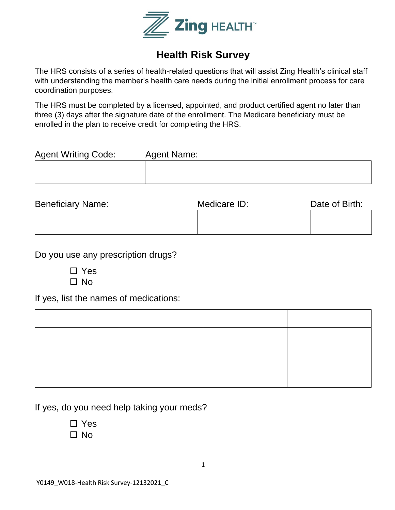

## **Health Risk Survey**

The HRS consists of a series of health-related questions that will assist Zing Health's clinical staff with understanding the member's health care needs during the initial enrollment process for care coordination purposes.

The HRS must be completed by a licensed, appointed, and product certified agent no later than three (3) days after the signature date of the enrollment. The Medicare beneficiary must be enrolled in the plan to receive credit for completing the HRS.

| <b>Agent Writing Code:</b> | Agent Name: |
|----------------------------|-------------|
|                            |             |
|                            |             |

| <b>Beneficiary Name:</b> | Medicare ID: | Date of Birth: |  |
|--------------------------|--------------|----------------|--|
|                          |              |                |  |
|                          |              |                |  |

Do you use any prescription drugs?

| П | Yes  |
|---|------|
|   | □ No |

If yes, list the names of medications:

If yes, do you need help taking your meds?

□ Yes  $\Box$  No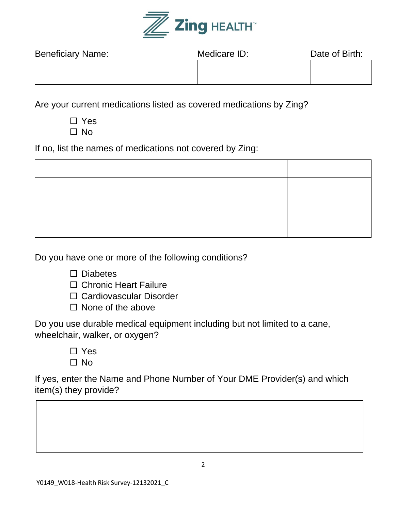

| <b>Beneficiary Name:</b> | Medicare ID: | Date of Birth: |  |
|--------------------------|--------------|----------------|--|
|                          |              |                |  |
|                          |              |                |  |

Are your current medications listed as covered medications by Zing?

□ Yes  $\Box$  No

If no, list the names of medications not covered by Zing:

Do you have one or more of the following conditions?

 $\square$  Diabetes

□ Chronic Heart Failure

□ Cardiovascular Disorder

 $\Box$  None of the above

Do you use durable medical equipment including but not limited to a cane, wheelchair, walker, or oxygen?

> □ Yes  $\Box$  No

If yes, enter the Name and Phone Number of Your DME Provider(s) and which item(s) they provide?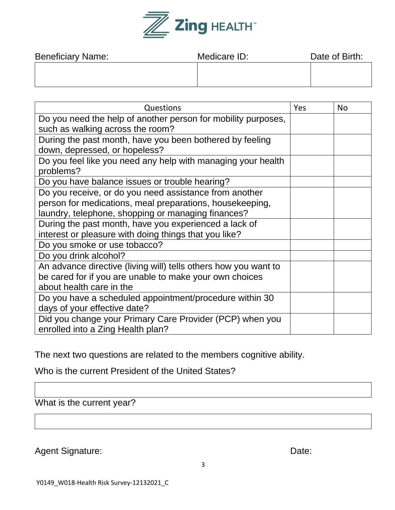

| <b>Beneficiary Name:</b> | Medicare ID: | Date of Birth: |  |
|--------------------------|--------------|----------------|--|
|                          |              |                |  |
|                          |              |                |  |

| Questions                                                       | Yes | <b>No</b> |
|-----------------------------------------------------------------|-----|-----------|
| Do you need the help of another person for mobility purposes,   |     |           |
| such as walking across the room?                                |     |           |
| During the past month, have you been bothered by feeling        |     |           |
| down, depressed, or hopeless?                                   |     |           |
| Do you feel like you need any help with managing your health    |     |           |
| problems?                                                       |     |           |
| Do you have balance issues or trouble hearing?                  |     |           |
| Do you receive, or do you need assistance from another          |     |           |
| person for medications, meal preparations, housekeeping,        |     |           |
| laundry, telephone, shopping or managing finances?              |     |           |
| During the past month, have you experienced a lack of           |     |           |
| interest or pleasure with doing things that you like?           |     |           |
| Do you smoke or use tobacco?                                    |     |           |
| Do you drink alcohol?                                           |     |           |
| An advance directive (living will) tells others how you want to |     |           |
| be cared for if you are unable to make your own choices         |     |           |
| about health care in the                                        |     |           |
| Do you have a scheduled appointment/procedure within 30         |     |           |
| days of your effective date?                                    |     |           |
| Did you change your Primary Care Provider (PCP) when you        |     |           |
| enrolled into a Zing Health plan?                               |     |           |

The next two questions are related to the members cognitive ability.

Who is the current President of the United States?

What is the current year?

Agent Signature: Date: Date: Date: Date: Date: Date: Date: Date: Date: Date: Date: Date: Date: Date: Date: Date: Date: Date: Date: Date: Date: Date: Date: Date: Date: Date: Date: Date: Date: Date: Date: Date: Date: Date: D